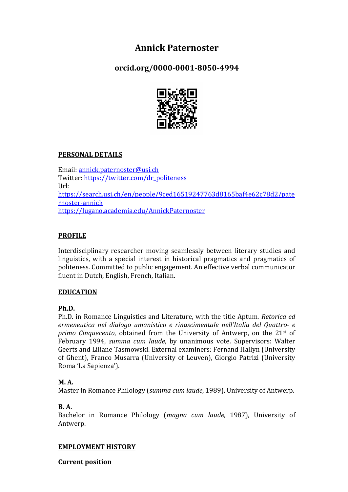# **Annick Paternoster**

**orcid.org/0000-0001-8050-4994**



# **PERSONAL DETAILS**

Email: annick.paternoster@usi.ch Twitter: https://twitter.com/dr\_politeness Url: https://search.usi.ch/en/people/9ced16519247763d8165baf4e62c78d2/pate rnoster-annick https://lugano.academia.edu/AnnickPaternoster

# **PROFILE**

Interdisciplinary researcher moving seamlessly between literary studies and linguistics, with a special interest in historical pragmatics and pragmatics of politeness. Committed to public engagement. An effective verbal communicator fluent in Dutch, English, French, Italian.

# **EDUCATION**

# **Ph.D.**

Ph.D. in Romance Linguistics and Literature, with the title Aptum. Retorica ed *ermeneutica nel dialogo umanistico e rinascimentale nell'Italia del Quattro- e primo Cinquecento*, obtained from the University of Antwerp, on the 21<sup>st</sup> of February 1994, *summa cum laude*, by unanimous vote. Supervisors: Walter Geerts and Liliane Tasmowski. External examiners: Fernand Hallyn (University of Ghent), Franco Musarra (University of Leuven), Giorgio Patrizi (University Roma 'La Sapienza').

# **M. A.**

Master in Romance Philology (*summa cum laude*, 1989), University of Antwerp.

# **B. A.**

Bachelor in Romance Philology (*magna cum laude*, 1987), University of Antwerp.

# **EMPLOYMENT HISTORY**

**Current position**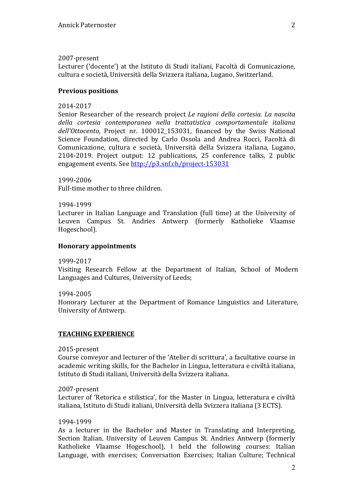#### 2007-present

Lecturer ('docente') at the Istituto di Studi italiani, Facoltà di Comunicazione, cultura e società, Università della Svizzera italiana, Lugano, Switzerland. 

# **Previous positions**

### 2014-2017

Senior Researcher of the research project *Le ragioni della cortesia. La nascita della cortesia contemporanea nella trattatistica comportamentale italiana*  dell'Ottocento, Project nr. 100012\_153031, financed by the Swiss National Science Foundation, directed by Carlo Ossola and Andrea Rocci, Facoltà di Comunicazione, cultura e società, Università della Svizzera italiana, Lugano, 2104-2019. Project output: 12 publications, 25 conference talks, 2 public engagement events. See http://p3.snf.ch/project-153031

1999-2006 Full-time mother to three children.

1994-1999

Lecturer in Italian Language and Translation (full time) at the University of Leuven Campus St. Andries Antwerp (formerly Katholieke Vlaamse Hogeschool).

#### **Honorary appointments**

1999-2017 

Visiting Research Fellow at the Department of Italian, School of Modern Languages and Cultures, University of Leeds;

1994-2005 

Honorary Lecturer at the Department of Romance Linguistics and Literature, University of Antwerp.

#### **TEACHING EXPERIENCE**

2015-present

Course conveyor and lecturer of the 'Atelier di scrittura', a facultative course in academic writing skills, for the Bachelor in Lingua, letteratura e civiltà italiana, Istituto di Studi italiani, Università della Svizzera italiana.

2007-present

Lecturer of 'Retorica e stilistica', for the Master in Lingua, letteratura e civiltà italiana, Istituto di Studi italiani, Università della Svizzera italiana (3 ECTS).

#### 1994-1999

As a lecturer in the Bachelor and Master in Translating and Interpreting, Section Italian, University of Leuven Campus St. Andries Antwerp (formerly Katholieke Vlaamse Hogeschool), I held the following courses: Italian Language, with exercises; Conversation Exercises; Italian Culture; Technical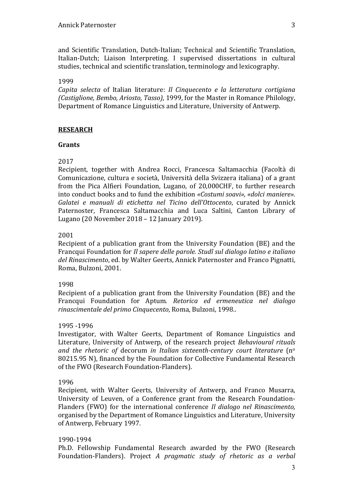and Scientific Translation, Dutch-Italian; Technical and Scientific Translation, Italian-Dutch; Liaison Interpreting. I supervised dissertations in cultural studies, technical and scientific translation, terminology and lexicography.

### 1999

*Capita selecta* of Italian literature: *Il Cinquecento e la letteratura cortigiana (Castiglione, Bembo, Ariosto, Tasso)*, 1999, for the Master in Romance Philology, Department of Romance Linguistics and Literature, University of Antwerp.

# **RESEARCH**

#### **Grants**

# 2017

Recipient, together with Andrea Rocci, Francesca Saltamacchia (Facoltà di Comunicazione, cultura e società, Università della Svizzera italiana) of a grant from the Pica Alfieri Foundation, Lugano, of 20,000CHF, to further research into conduct books and to fund the exhibition *«Costumi soavi», «dolci maniere»*. *Galatei e manuali di etichetta nel Ticino dell'Ottocento*, curated by Annick Paternoster, Francesca Saltamacchia and Luca Saltini, Canton Library of Lugano (20 November 2018 – 12 January 2019).

#### 2001

Recipient of a publication grant from the University Foundation (BE) and the Francqui Foundation for *Il sapere delle parole. Studî sul dialogo latino e italiano* del Rinascimento, ed. by Walter Geerts, Annick Paternoster and Franco Pignatti, Roma, Bulzoni, 2001.

#### 1998

Recipient of a publication grant from the University Foundation (BE) and the Francqui Foundation for Aptum. Retorica ed ermeneutica nel dialogo *rinascimentale del primo Cinquecento*, Roma, Bulzoni, 1998.. 

#### 1995 -1996

Investigator, with Walter Geerts, Department of Romance Linguistics and Literature, University of Antwerp, of the research project *Behavioural rituals* and the rhetoric of decorum in Italian sixteenth-century court literature (n<sup>o</sup> 80215.95 N), financed by the Foundation for Collective Fundamental Research of the FWO (Research Foundation-Flanders).

#### 1996

Recipient, with Walter Geerts, University of Antwerp, and Franco Musarra, University of Leuven, of a Conference grant from the Research Foundation-Flanders (FWO) for the international conference *Il dialogo nel Rinascimento*, organised by the Department of Romance Linguistics and Literature, University of Antwerp, February 1997.

# 1990-1994

Ph.D. Fellowship Fundamental Research awarded by the FWO (Research Foundation-Flanders). Project *A pragmatic study of rhetoric as a verbal*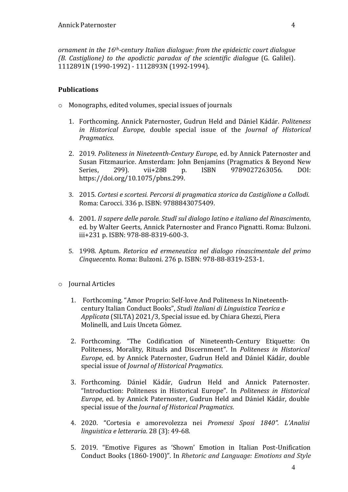*ornament in the 16<sup>th</sup>-century Italian dialogue: from the epideictic court dialogue (B. Castiglione) to the apodictic paradox of the scientific dialogue* (G. Galilei). 1112891N (1990-1992) - 1112893N (1992-1994).

#### **Publications**

- $\circ$  Monographs, edited volumes, special issues of journals
	- 1. Forthcoming. Annick Paternoster, Gudrun Held and Dániel Kádár. *Politeness in* Historical Europe, double special issue of the *Journal of Historical Pragmatics*.
	- 2. 2019. Politeness in Nineteenth-Century Europe, ed. by Annick Paternoster and Susan Fitzmaurice. Amsterdam: John Benjamins (Pragmatics & Beyond New Series. 299). vii+288 p. ISBN 9789027263056. DOI: https://doi.org/10.1075/pbns.299.
	- 3. 2015. Cortesi e scortesi. Percorsi di pragmatica storica da Castiglione a Collodi. Roma: Carocci. 336 p. ISBN: 9788843075409.
	- 4. 2001. *Il sapere delle parole. Studî sul dialogo latino e italiano del Rinascimento*, ed. by Walter Geerts, Annick Paternoster and Franco Pignatti. Roma: Bulzoni. iii+231 p. ISBN: 978-88-8319-600-3.
	- 5. 1998. Aptum. *Retorica ed ermeneutica nel dialogo rinascimentale del primo Cinquecento.* Roma: Bulzoni. 276 p. ISBN: 978-88-8319-253-1.
- o Journal Articles
	- 1. Forthcoming. "Amor Proprio: Self-love And Politeness In Nineteenthcentury Italian Conduct Books", *Studi Italiani di Linguistica Teorica e Applicata* (SILTA) 2021/3, Special issue ed. by Chiara Ghezzi, Piera Molinelli, and Luis Unceta Gòmez.
	- 2. Forthcoming. "The Codification of Nineteenth-Century Etiquette: On Politeness, Morality, Rituals and Discernment". In *Politeness in Historical Europe*, ed. by Annick Paternoster, Gudrun Held and Dániel Kádár, double special issue of *Journal of Historical Pragmatics*.
	- 3. Forthcoming. Dániel Kádár, Gudrun Held and Annick Paternoster. "Introduction: Politeness in Historical Europe". In *Politeness in Historical Europe*, ed. by Annick Paternoster, Gudrun Held and Dániel Kádár, double special issue of the *Journal of Historical Pragmatics*.
	- 4. 2020. "Cortesia e amorevolezza nei *Promessi Sposi 1840". L'Analisi linguistica e letteraria.* 28 (3): 49-68.
	- 5. 2019. "Emotive Figures as 'Shown' Emotion in Italian Post-Unification Conduct Books (1860-1900)". In *Rhetoric and Language: Emotions and Style*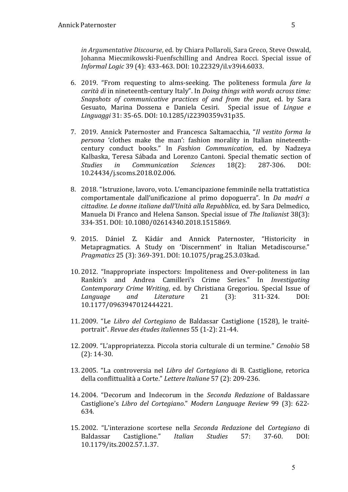*in Argumentative Discourse*, ed. by Chiara Pollaroli, Sara Greco, Steve Oswald, Johanna Miecznikowski-Fuenfschilling and Andrea Rocci. Special issue of *Informal Logic* 39 (4): 433-463. DOI: 10.22329/il.v39i4.6033.

- 6. 2019. "From requesting to alms-seeking. The politeness formula fare la *carità di* in nineteenth-century Italy". In *Doing things with words across time: Snapshots of communicative practices of and from the past, ed.* by Sara Gesuato, Marina Dossena e Daniela Cesiri. Special issue of *Lingue e Linguaggi* 31: 35-65. DOI: 10.1285/i22390359v31p35.
- 7. 2019. Annick Paternoster and Francesca Saltamacchia, "Il vestito forma la *persona* 'clothes make the man': fashion morality in Italian nineteenthcentury conduct books." In *Fashion Communication*, ed. by Nadzeya Kalbaska, Teresa Sábada and Lorenzo Cantoni. Special thematic section of *Studies in Communication Sciences* 18(2): 287-306. DOI: 10.24434/j.scoms.2018.02.006.
- 8. 2018. "Istruzione, lavoro, voto. L'emancipazione femminile nella trattatistica comportamentale dall'unificazione al primo dopoguerra". In *Da madri a cittadine. Le donne italiane dall'Unità alla Repubblica*, ed. by Sara Delmedico, Manuela Di Franco and Helena Sanson. Special issue of *The Italianist* 38(3): 334-351. DOI: 10.1080/02614340.2018.1515869.
- 9. 2015. Dániel Z. Kádár and Annick Paternoster, "Historicity in Metapragmatics. A Study on 'Discernment' in Italian Metadiscourse." *Pragmatics* 25 (3): 369-391. DOI: 10.1075/prag.25.3.03kad.
- 10. 2012. "Inappropriate inspectors: Impoliteness and Over-politeness in Ian Rankin's and Andrea Camilleri's Crime Series." In *Investigating Contemporary Crime Writing*, ed. by Christiana Gregoriou. Special Issue of *Language and Literature* 21 (3): 311-324. DOI: 10.1177/0963947012444221.
- 11. 2009. "Le *Libro del Cortegiano* de Baldassar Castiglione (1528), le traitéportrait". *Revue des études italiennes* 55 (1-2): 21-44.
- 12. 2009. "L'appropriatezza. Piccola storia culturale di un termine." *Cenobio* 58  $(2): 14-30.$
- 13. 2005. "La controversia nel *Libro del Cortegiano* di B. Castiglione, retorica della conflittualità a Corte." *Lettere Italiane* 57 (2): 209-236.
- 14. 2004. "Decorum and Indecorum in the *Seconda Redazione* of Baldassare Castiglione's *Libro del Cortegiano*." *Modern Language Review* 99 (3): 622- 634.
- 15. 2002. "L'interazione scortese nella *Seconda Redazione* del *Cortegiano* di Baldassar Castiglione." *Italian Studies* 57: 37-60. DOI: 10.1179/its.2002.57.1.37.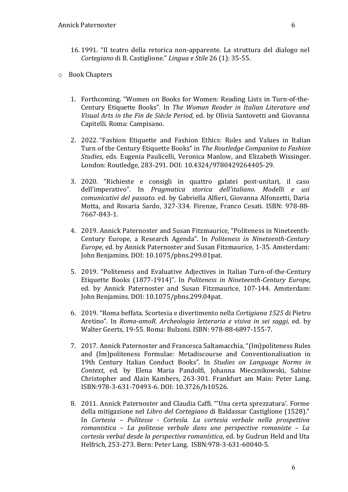- 16. 1991. "Il teatro della retorica non-apparente. La struttura del dialogo nel *Cortegiano* di B. Castiglione." *Lingua e Stile* 26 (1): 35-55.
- o Book Chapters
	- 1. Forthcoming. "Women on Books for Women: Reading Lists in Turn-of-the-Century Etiquette Books"*.*  In *The Woman Reader in Italian Literature and Visual Arts in the Fin de Siècle Period, ed.* by Olivia Santovetti and Giovanna Capitelli. Roma: Campisano.
	- 2. 2022. "Fashion Etiquette and Fashion Ethics: Rules and Values in Italian Turn of the Century Etiquette Books" in *The Routledge Companion to Fashion Studies*, eds. Eugenia Paulicelli, Veronica Manlow, and Elizabeth Wissinger. London: Routledge, 283-291. DOI: 10.4324/9780429264405-29.
	- 3. 2020. "Richieste e consigli in quattro galatei post-unitari, il caso dell'imperativo". In *Pragmatica storica dell'italiano. Modelli e usi comunicativi del passato.* ed. by Gabriella Alfieri, Giovanna Alfonzetti, Daria Motta, and Rosaria Sardo, 327-334. Firenze, Franco Cesati. ISBN: 978-88-7667-843-1.
	- 4. 2019. Annick Paternoster and Susan Fitzmaurice, "Politeness in Nineteenth-Century Europe, a Research Agenda". In *Politeness in Nineteenth-Century Europe*, ed. by Annick Paternoster and Susan Fitzmaurice, 1-35. Amsterdam: John Benjamins. DOI: 10.1075/pbns.299.01pat.
	- 5. 2019. "Politeness and Evaluative Adjectives in Italian Turn-of-the-Century Etiquette Books (1877-1914)". In *Politeness in Nineteenth-Century Europe*, ed. by Annick Paternoster and Susan Fitzmaurice, 107-144. Amsterdam: John Benjamins. DOI: 10.1075/pbns.299.04pat.
	- 6. 2019. "Roma beffata. Scortesia e divertimento nella *Cortigiana 1525* di Pietro Aretino". In *Roma-amoR. Archeologia letteraria e visiva in sei saggi*, ed. by Walter Geerts, 19-55. Roma: Bulzoni. ISBN: 978-88-6897-155-7.
	- 7. 2017. Annick Paternoster and Francesca Saltamacchia, "(Im)politeness Rules and (Im)politeness Formulae: Metadiscourse and Conventionalisation in 19th Century Italian Conduct Books". In *Studies on Language Norms in Context*, ed. by Elena Maria Pandolfi, Johanna Miecznikowski, Sabine Christopher and Alain Kambers, 263-301. Frankfurt am Main: Peter Lang. ISBN: 978-3-631-70493-6. DOI: 10.3726/b10526.
	- 8. 2011. Annick Paternoster and Claudia Caffi. "'Una certa sprezzatura'. Forme della mitigazione nel *Libro del Cortegiano* di Baldassar Castiglione (1528)." In *Cortesia – Politesse - Cortesía. La cortesia verbale nella prospettiva romanistica – La politesse verbale dans une perspective romaniste – La cortesía verbal desde la perspectiva romanística*, ed. by Gudrun Held and Uta Helfrich, 253-273. Bern: Peter Lang. ISBN:978-3-631-60040-5.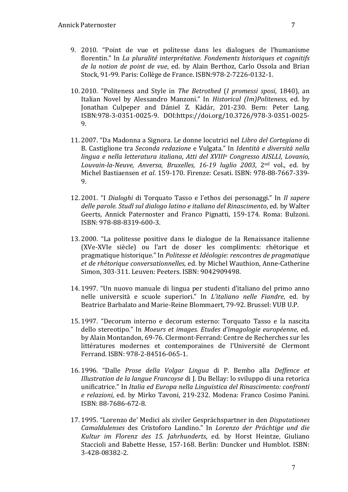- 9. 2010. "Point de vue et politesse dans les dialogues de l'humanisme florentin." In *La pluralité interprétative. Fondements historiques et cognitifs de la notion de point de vue*, ed. by Alain Berthoz, Carlo Ossola and Brian Stock, 91-99. Paris: Collège de France. ISBN: 978-2-7226-0132-1.
- 10. 2010. "Politeness and Style in *The Betrothed* (*I promessi sposi*, 1840), an Italian Novel by Alessandro Manzoni." In *Historical (Im)Politeness*, ed. by Jonathan Culpeper and Dániel Z. Kádár, 201-230. Bern: Peter Lang. ISBN:978-3-0351-0025-9. DOI:https://doi.org/10.3726/978-3-0351-0025- 9.
- 11. 2007. "Da Madonna a Signora. Le donne locutrici nel *Libro del Cortegiano* di B. Castiglione tra *Seconda redazione* e Vulgata." In *Identità e diversità nella lingua e nella letteratura italiana*, *Atti del XVIIIo Congresso AISLLI, Lovanio, Louvain-la-Neuve, Anversa, Bruxelles, 16-19 luglio 2003*, 2nd vol., ed. by Michel Bastiaensen *et al*. 159-170. Firenze: Cesati. ISBN: 978-88-7667-339- 9.
- 12. 2001. "I *Dialoghi* di Torquato Tasso e l'ethos dei personaggi." In *Il sapere* delle parole. Studî sul dialogo latino e italiano del Rinascimento, ed. by Walter Geerts, Annick Paternoster and Franco Pignatti, 159-174. Roma: Bulzoni. ISBN: 978-88-8319-600-3.
- 13. 2000. "La politesse positive dans le dialogue de la Renaissance italienne (XVe-XVIe siècle) ou l'art de doser les compliments: rhétorique et pragmatique historique." In *Politesse et Idéologie: rencontres de pragmatique* et de rhétorique conversationnelles, ed. by Michel Wauthion, Anne-Catherine Simon, 303-311. Leuven: Peeters. ISBN: 9042909498.
- 14. 1997. "Un nuovo manuale di lingua per studenti d'italiano del primo anno nelle università e scuole superiori." In *L'italiano nelle Fiandre*, ed. by Beatrice Barbalato and Marie-Reine Blommaert, 79-92. Brussel: VUB U.P.
- 15. 1997. "Decorum interno e decorum esterno: Torquato Tasso e la nascita dello stereotipo." In *Moeurs et images. Etudes d'imagologie européenne*, ed. by Alain Montandon, 69-76. Clermont-Ferrand: Centre de Recherches sur les littératures modernes et contemporaines de l'Université de Clermont Ferrand. ISBN: 978-2-84516-065-1.
- 16. 1996. "Dalle *Prose della Volgar Lingua* di P. Bembo alla *Deffence et Illustration de la langue Francoyse* di J. Du Bellay: lo sviluppo di una retorica unificatrice." In *Italia ed Europa nella Linguistica del Rinascimento: confronti e relazioni*, ed. by Mirko Tavoni, 219-232. Modena: Franco Cosimo Panini. ISBN: 88-7686-672-8.
- 17. 1995. "Lorenzo de' Medici als ziviler Gesprächspartner in den *Disputationes Camaldulenses* des Cristoforo Landino." In *Lorenzo der Prächtige und die*  Kultur *im Florenz des 15. Jahrhunderts*, ed. by Horst Heintze, Giuliano Staccioli and Babette Hesse, 157-168. Berlin: Duncker und Humblot. ISBN: 3-428-08382-2.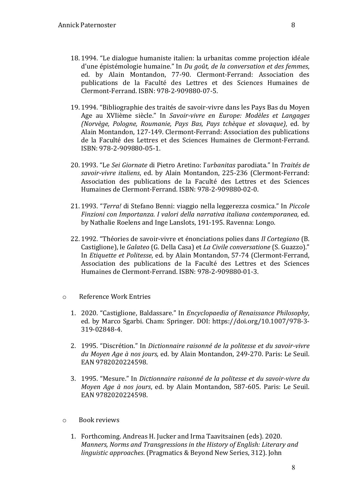- 18. 1994. "Le dialogue humaniste italien: la urbanitas comme projection idéale d'une épistémologie humaine." In *Du goût, de la conversation et des femmes*, ed. by Alain Montandon, 77-90. Clermont-Ferrand: Association des publications de la Faculté des Lettres et des Sciences Humaines de Clermont-Ferrand. ISBN: 978-2-909880-07-5.
- 19. 1994. "Bibliographie des traités de savoir-vivre dans les Pays Bas du Moyen Age au XVIième siècle." In *Savoir-vivre en Europe: Modèles et Langages (Norvège, Pologne, Roumanie, Pays Bas, Pays tchèque et slovaque)*, ed. by Alain Montandon, 127-149. Clermont-Ferrand: Association des publications de la Faculté des Lettres et des Sciences Humaines de Clermont-Ferrand. ISBN: 978-2-909880-05-1.
- 20. 1993. "Le *Sei Giornate* di Pietro Aretino: l'*urbanitas* parodiata." In *Traités de*  savoir-vivre *italiens*, ed. by Alain Montandon, 225-236 (Clermont-Ferrand: Association des publications de la Faculté des Lettres et des Sciences Humaines de Clermont-Ferrand. ISBN: 978-2-909880-02-0.
- 21. 1993. *"Terra!* di Stefano Benni: viaggio nella leggerezza cosmica." In *Piccole Finzioni con Importanza. I valori della narrativa italiana contemporanea, ed.* by Nathalie Roelens and Inge Lanslots, 191-195. Ravenna: Longo.
- 22. 1992. "Théories de savoir-vivre et énonciations polies dans *Il Cortegiano* (B. Castiglione), le *Galateo* (G. Della Casa) et *La Civile conversatione* (S. Guazzo)." In *Etiquette et Politesse*, ed. by Alain Montandon, 57-74 (Clermont-Ferrand, Association des publications de la Faculté des Lettres et des Sciences Humaines de Clermont-Ferrand. ISBN: 978-2-909880-01-3.
- o Reference Work Entries
	- 1. 2020. "Castiglione, Baldassare." In *Encyclopaedia of Renaissance Philosophy*, ed. by Marco Sgarbi. Cham: Springer. DOI: https://doi.org/10.1007/978-3-319-02848-4.
	- 2. 1995. "Discrétion." In *Dictionnaire raisonné de la politesse et du savoir-vivre* du Moyen Age à nos jours, ed. by Alain Montandon, 249-270. Paris: Le Seuil. EAN 9782020224598.
	- 3. 1995. "Mesure." In *Dictionnaire raisonné de la politesse et du savoir-vivre du Moyen Age à nos jours*, ed. by Alain Montandon, 587-605. Paris: Le Seuil. EAN 9782020224598.
- $\circ$  Book reviews
	- 1. Forthcoming. Andreas H. Jucker and Irma Taavitsainen (eds). 2020. *Manners, Norms and Transgressions in the History of English: Literary and linguistic approaches.* (Pragmatics & Beyond New Series, 312). John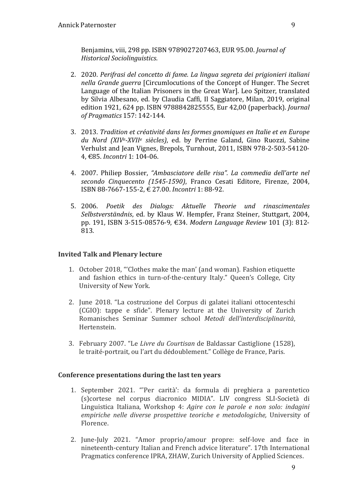Benjamins, viii, 298 pp. ISBN 9789027207463, EUR 95.00. *Journal of Historical Sociolinguistics*.

- 2. 2020. Perifrasi del concetto di fame. La lingua segreta dei prigionieri italiani *nella Grande guerra* [Circumlocutions of the Concept of Hunger. The Secret Language of the Italian Prisoners in the Great War]. Leo Spitzer, translated by Silvia Albesano, ed. by Claudia Caffi, Il Saggiatore, Milan, 2019, original edition 1921, 624 pp. ISBN 9788842825555, Eur 42,00 (paperback). *Journal of Pragmatics* 157: 142-144.
- 3. 2013. *Tradition et créativité dans les formes gnomiques en Italie et en Europe du Nord (XIVe-XVIIe siècles)*, ed. by Perrine Galand, Gino Ruozzi, Sabine Verhulst and Jean Vignes, Brepols, Turnhout, 2011, ISBN 978-2-503-54120-4, €85. *Incontri* 1: 104-06.
- 4. 2007. Philiep Bossier, *"Ambasciatore delle risa". La commedia dell'arte nel secondo Cinquecento (1545-1590)*, Franco Cesati Editore, Firenze, 2004, ISBN 88-7667-155-2, € 27.00. *Incontri* 1: 88-92.
- 5. 2006. *Poetik des Dialogs: Aktuelle Theorie und rinascimentales Selbstverständnis*, ed. by Klaus W. Hempfer, Franz Steiner, Stuttgart, 2004, pp. 191, ISBN 3-515-08576-9, €34. *Modern Language Review* 101 (3): 812-813.

#### **Invited Talk and Plenary lecture**

- 1. October 2018, "Clothes make the man' (and woman). Fashion etiquette and fashion ethics in turn-of-the-century Italy." Queen's College, City University of New York.
- 2. June 2018. "La costruzione del Corpus di galatei italiani ottocenteschi (CGIO): tappe e sfide". Plenary lecture at the University of Zurich Romanisches Seminar Summer school *Metodi dell'interdisciplinarità*, Hertenstein.
- 3. February 2007. "Le *Livre du Courtisan* de Baldassar Castiglione (1528), le traité-portrait, ou l'art du dédoublement." Collège de France, Paris.

#### **Conference presentations during the last ten years**

- 1. September 2021. "'Per carità': da formula di preghiera a parentetico (s)cortese nel corpus diacronico MIDIA". LIV congress SLI-Società di Linguistica Italiana, Workshop 4: *Agire con le parole e non solo: indagini* empiriche nelle diverse prospettive teoriche e metodologiche, University of Florence.
- 2. June-July 2021. "Amor proprio/amour propre: self-love and face in nineteenth-century Italian and French advice literature". 17th International Pragmatics conference IPRA, ZHAW, Zurich University of Applied Sciences.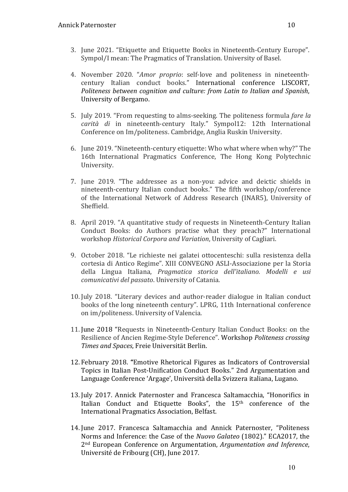- 3. June 2021. "Etiquette and Etiquette Books in Nineteenth-Century Europe". Sympol/I mean: The Pragmatics of Translation. University of Basel.
- 4. November 2020. "*Amor proprio*: self-love and politeness in nineteenthcentury Italian conduct books." International conference LISCORT, *Politeness between cognition and culture: from Latin to Italian and Spanish,* University of Bergamo.
- 5. July 2019. "From requesting to alms-seeking. The politeness formula *fare la carità di* in nineteenth-century Italy." Sympol12: 12th International Conference on Im/politeness. Cambridge, Anglia Ruskin University.
- 6. June 2019. "Nineteenth-century etiquette: Who what where when why?" The 16th International Pragmatics Conference, The Hong Kong Polytechnic University.
- 7. June 2019. "The addressee as a non-you: advice and deictic shields in nineteenth-century Italian conduct books." The fifth workshop/conference of the International Network of Address Research (INAR5), University of Sheffield.
- 8. April 2019. "A quantitative study of requests in Nineteenth-Century Italian Conduct Books: do Authors practise what they preach?" International workshop Historical Corpora and Variation, University of Cagliari.
- 9. October 2018. "Le richieste nei galatei ottocenteschi: sulla resistenza della cortesia di Antico Regime". XIII CONVEGNO ASLI-Associazione per la Storia della Lingua Italiana, *Pragmatica storica dell'italiano. Modelli e usi comunicativi del passato*. University of Catania.
- 10. July 2018. "Literary devices and author-reader dialogue in Italian conduct books of the long nineteenth century". LPRG, 11th International conference on im/politeness. University of Valencia.
- 11. June 2018 "Requests in Nineteenth-Century Italian Conduct Books: on the Resilience of Ancien Regime-Style Deference". Workshop *Politeness crossing Times and Spaces*, Freie Universität Berlin.
- 12. February 2018. **"**Emotive Rhetorical Figures as Indicators of Controversial Topics in Italian Post-Unification Conduct Books." 2nd Argumentation and Language Conference 'Argage', Università della Svizzera italiana, Lugano.
- 13. July 2017. Annick Paternoster and Francesca Saltamacchia, "Honorifics in Italian Conduct and Etiquette Books", the 15<sup>th</sup> conference of the International Pragmatics Association, Belfast.
- 14. June 2017. Francesca Saltamacchia and Annick Paternoster, "Politeness Norms and Inference: the Case of the *Nuovo Galateo* (1802)." ECA2017, the 2nd European Conference on Argumentation, *Argumentation and Inference*, Université de Fribourg (CH), June 2017.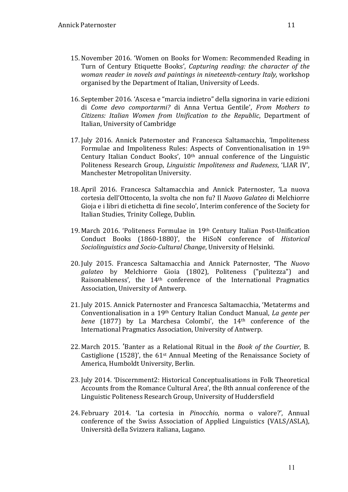- 15. November 2016. 'Women on Books for Women: Recommended Reading in Turn of Century Etiquette Books', *Capturing reading:* the *character* of the *woman reader in novels and paintings in nineteenth-century Italy, workshop* organised by the Department of Italian, University of Leeds.
- 16. September 2016. 'Ascesa e "marcia indietro" della signorina in varie edizioni di *Come devo comportarmi?*  di Anna Vertua Gentile', *From Mothers to Citizens: Italian Women from Unification to the Republic*, Department of Italian, University of Cambridge
- 17. July 2016. Annick Paternoster and Francesca Saltamacchia, 'Impoliteness Formulae and Impoliteness Rules: Aspects of Conventionalisation in 19th Century Italian Conduct Books',  $10<sup>th</sup>$  annual conference of the Linguistic Politeness Research Group, *Linguistic Impoliteness and Rudeness*, 'LIAR IV', Manchester Metropolitan University.
- 18. April 2016. Francesca Saltamacchia and Annick Paternoster, 'La nuova cortesia dell'Ottocento, la svolta che non fu? Il *Nuovo Galateo* di Melchiorre Gioja e i libri di etichetta di fine secolo', Interim conference of the Society for Italian Studies, Trinity College, Dublin.
- 19. March 2016. 'Politeness Formulae in 19th Century Italian Post-Unification Conduct Books (1860-1880)', the HiSoN conference of *Historical Sociolinguistics and Socio-Cultural Change*, University of Helsinki.
- 20. July 2015. Francesca Saltamacchia and Annick Paternoster, **'**The *Nuovo*  galateo by Melchiorre Gioia (1802), Politeness ("pulitezza") and Raisonableness', the 14<sup>th</sup> conference of the International Pragmatics Association, University of Antwerp.
- 21. July 2015. Annick Paternoster and Francesca Saltamacchia, 'Metaterms and Conventionalisation in a 19<sup>th</sup> Century Italian Conduct Manual, *La gente per bene* (1877) by La Marchesa Colombi', the 14<sup>th</sup> conference of the International Pragmatics Association, University of Antwerp.
- 22. March 2015. 'Banter as a Relational Ritual in the *Book of the Courtier*, B. Castiglione  $(1528)'$ , the  $61<sup>st</sup>$  Annual Meeting of the Renaissance Society of America, Humboldt University, Berlin.
- 23. July 2014. 'Discernment2: Historical Conceptualisations in Folk Theoretical Accounts from the Romance Cultural Area', the 8th annual conference of the Linguistic Politeness Research Group, University of Huddersfield
- 24. February 2014. 'La cortesia in Pinocchio, norma o valore?', Annual conference of the Swiss Association of Applied Linguistics (VALS/ASLA), Università della Svizzera italiana, Lugano.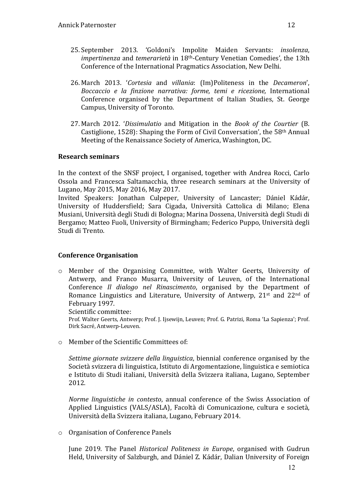- 25. September 2013. 'Goldoni's Impolite Maiden Servants: *insolenza*, *impertinenza* and *temerarietà* in 18<sup>th</sup>-Century Venetian Comedies', the 13th Conference of the International Pragmatics Association, New Delhi.
- 26. March 2013. '*Cortesia* and *villania*: (Im)Politeness in the *Decameron*', *Boccaccio e la finzione narrativa: forme, temi e ricezione,* International Conference organised by the Department of Italian Studies, St. George Campus, University of Toronto.
- 27. March 2012. 'Dissimulatio and Mitigation in the *Book of the Courtier* (B. Castiglione, 1528): Shaping the Form of Civil Conversation', the  $58<sup>th</sup>$  Annual Meeting of the Renaissance Society of America, Washington, DC.

#### **Research seminars**

In the context of the SNSF project, I organised, together with Andrea Rocci, Carlo Ossola and Francesca Saltamacchia, three research seminars at the University of Lugano, May 2015, May 2016, May 2017.

Invited Speakers: Jonathan Culpeper, University of Lancaster; Dániel Kádár, University of Huddersfield; Sara Cigada, Università Cattolica di Milano; Elena Musiani, Università degli Studi di Bologna; Marina Dossena, Università degli Studi di Bergamo; Matteo Fuoli, University of Birmingham; Federico Puppo, Università degli Studi di Trento.

# **Conference Organisation**

o Member of the Organising Committee, with Walter Geerts, University of Antwerp, and Franco Musarra, University of Leuven, of the International Conference *Il dialogo nel Rinascimento*, organised by the Department of Romance Linguistics and Literature, University of Antwerp,  $21^{st}$  and  $22^{nd}$  of February 1997.

Scientific committee:

Prof. Walter Geerts, Antwerp; Prof. J. Ijsewijn, Leuven; Prof. G. Patrizi, Roma 'La Sapienza'; Prof. Dirk Sacré, Antwerp-Leuven.

 $\circ$  Member of the Scientific Committees of:

*Settime giornate svizzere della linguistica*, biennial conference organised by the Società svizzera di linguistica, Istituto di Argomentazione, linguistica e semiotica e Istituto di Studi italiani, Università della Svizzera italiana, Lugano, September 2012.

*Norme linguistiche in contesto*, annual conference of the Swiss Association of Applied Linguistics (VALS/ASLA), Facoltà di Comunicazione, cultura e società, Università della Svizzera italiana, Lugano, February 2014.

 $\circ$  Organisation of Conference Panels

June 2019. The Panel *Historical Politeness in Europe*, organised with Gudrun Held, University of Salzburgh, and Dániel Z. Kádár, Dalian University of Foreign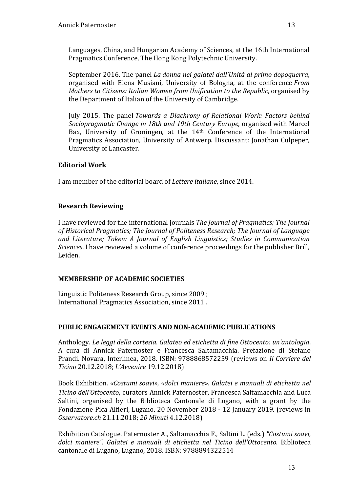Languages, China, and Hungarian Academy of Sciences, at the 16th International Pragmatics Conference, The Hong Kong Polytechnic University.

September 2016. The panel *La donna nei galatei dall'Unità al primo dopoguerra*, organised with Elena Musiani, University of Bologna, at the conference *From Mothers to Citizens: Italian Women from Unification to the Republic, organised by* the Department of Italian of the University of Cambridge.

July 2015. The panel *Towards a Diachrony of Relational Work: Factors behind Sociopragmatic Change in 18th and 19th Century Europe*, organised with Marcel Bax, University of Groningen, at the  $14<sup>th</sup>$  Conference of the International Pragmatics Association, University of Antwerp. Discussant: Jonathan Culpeper, University of Lancaster.

# **Editorial Work**

I am member of the editorial board of *Lettere italiane*, since 2014.

# **Research Reviewing**

I have reviewed for the international journals *The Journal of Pragmatics; The Journal* of Historical Pragmatics; The Journal of Politeness Research; The Journal of Language and Literature; Token: A Journal of English Linguistics; Studies in Communication *Sciences*. I have reviewed a volume of conference proceedings for the publisher Brill, Leiden.

# **MEMBERSHIP OF ACADEMIC SOCIETIES**

Linguistic Politeness Research Group, since 2009 ; International Pragmatics Association, since 2011.

# **PUBLIC ENGAGEMENT EVENTS AND NON-ACADEMIC PUBLICATIONS**

Anthology. *Le leggi della cortesia. Galateo ed etichetta di fine Ottocento: un'antologia.* A cura di Annick Paternoster e Francesca Saltamacchia. Prefazione di Stefano Prandi. Novara, Interlinea, 2018. ISBN: 9788868572259 (reviews on *Il Corriere del Ticino* 20.12.2018; *L'Avvenire* 19.12.2018)

Book Exhibition. *«Costumi soavi», «dolci maniere». Galatei e manuali di etichetta nel Ticino dell'Ottocento*, curators Annick Paternoster, Francesca Saltamacchia and Luca Saltini, organised by the Biblioteca Cantonale di Lugano, with a grant by the Fondazione Pica Alfieri, Lugano. 20 November 2018 - 12 January 2019. (reviews in *Osservatore.ch* 21.11.2018; *20 Minuti* 4.12.2018)

Exhibition Catalogue. Paternoster A., Saltamacchia F., Saltini L. (eds.) *"Costumi soavi, dolci maniere". Galatei e manuali di etichetta nel Ticino dell'Ottocento.* Biblioteca cantonale di Lugano, Lugano, 2018. ISBN: 9788894322514